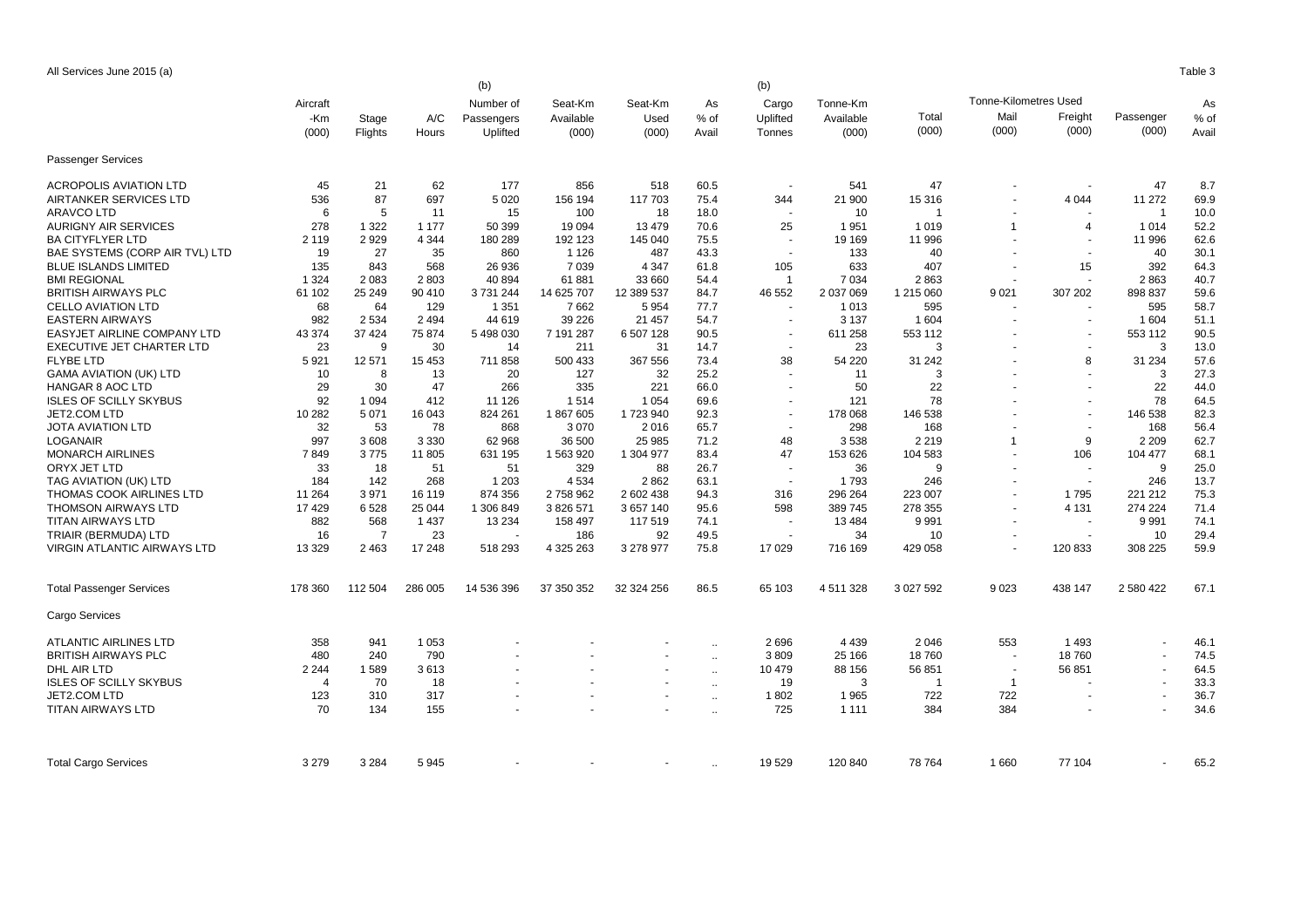All Services June 2015 (a) Table 3

|                                    | (b)<br>(b)     |         |         |            |            |                |                |                          |               |           |                              |                          |           |       |  |
|------------------------------------|----------------|---------|---------|------------|------------|----------------|----------------|--------------------------|---------------|-----------|------------------------------|--------------------------|-----------|-------|--|
|                                    | Aircraft       |         |         | Number of  | Seat-Km    | Seat-Km        | As             | Cargo                    | Tonne-Km      |           | <b>Tonne-Kilometres Used</b> |                          |           | As    |  |
|                                    | -Km            | Stage   | A/C     | Passengers | Available  | Used           | % of           | Uplifted                 | Available     | Total     | Mail                         | Freight                  | Passenger | % of  |  |
|                                    | (000)          | Flights | Hours   | Uplifted   | (000)      | (000)          | Avail          | Tonnes                   | (000)         | (000)     | (000)                        | (000)                    | (000)     | Avail |  |
|                                    |                |         |         |            |            |                |                |                          |               |           |                              |                          |           |       |  |
| <b>Passenger Services</b>          |                |         |         |            |            |                |                |                          |               |           |                              |                          |           |       |  |
| <b>ACROPOLIS AVIATION LTD</b>      | 45             | 21      | 62      | 177        | 856        | 518            | 60.5           |                          | 541           | 47        |                              |                          | 47        | 8.7   |  |
| AIRTANKER SERVICES LTD             | 536            | 87      | 697     | 5 0 20     | 156 194    | 117 703        | 75.4           | 344                      | 21 900        | 15 316    |                              | 4 0 4 4                  | 11 272    | 69.9  |  |
| <b>ARAVCO LTD</b>                  | 6              | 5       | 11      | 15         | 100        | 18             | 18.0           |                          | 10            | -1        |                              |                          | -1        | 10.0  |  |
| <b>AURIGNY AIR SERVICES</b>        | 278            | 1 3 2 2 | 1 1 7 7 | 50 399     | 19 0 94    | 13 4 79        | 70.6           | 25                       | 1951          | 1 0 1 9   | $\mathbf{1}$                 | $\overline{4}$           | 1 0 1 4   | 52.2  |  |
| <b>BA CITYFLYER LTD</b>            | 2 1 1 9        | 2929    | 4 3 4 4 | 180 289    | 192 123    | 145 040        | 75.5           |                          | 19 169        | 11 996    |                              | $\overline{\phantom{a}}$ | 11 996    | 62.6  |  |
| BAE SYSTEMS (CORP AIR TVL) LTD     | 19             | 27      | 35      | 860        | 1 1 2 6    | 487            | 43.3           |                          | 133           | 40        |                              | $\overline{\phantom{a}}$ | 40        | 30.1  |  |
| <b>BLUE ISLANDS LIMITED</b>        | 135            | 843     | 568     | 26 936     | 7 0 3 9    | 4 3 4 7        | 61.8           | 105                      | 633           | 407       |                              | 15                       | 392       | 64.3  |  |
| <b>BMI REGIONAL</b>                | 1 3 2 4        | 2 0 8 3 | 2803    | 40 894     | 61881      | 33 660         | 54.4           | $\overline{1}$           | 7 0 34        | 2863      |                              | $\sim$                   | 2863      | 40.7  |  |
| <b>BRITISH AIRWAYS PLC</b>         | 61 102         | 25 249  | 90 410  | 3 731 244  | 14 625 707 | 12 389 537     | 84.7           | 46 552                   | 2 037 069     | 1 215 060 | 9 0 21                       | 307 202                  | 898 837   | 59.6  |  |
| <b>CELLO AVIATION LTD</b>          | 68             | 64      | 129     | 1 3 5 1    | 7662       | 5954           | 77.7           | $\sim$                   | 1 0 1 3       | 595       |                              | $\overline{\phantom{a}}$ | 595       | 58.7  |  |
| <b>EASTERN AIRWAYS</b>             | 982            | 2 5 3 4 | 2 4 9 4 | 44 619     | 39 2 26    | 21 457         | 54.7           |                          | 3 1 3 7       | 1 604     |                              | $\overline{\phantom{a}}$ | 1 604     | 51.1  |  |
| EASYJET AIRLINE COMPANY LTD        | 43 374         | 37 4 24 | 75 874  | 5 498 030  | 7 191 287  | 6 507 128      | 90.5           |                          | 611 258       | 553 112   |                              |                          | 553 112   | 90.5  |  |
| EXECUTIVE JET CHARTER LTD          | 23             | 9       | 30      | 14         | 211        | 31             | 14.7           |                          | 23            | 3         |                              |                          | 3         | 13.0  |  |
| <b>FLYBE LTD</b>                   | 5921           | 12 571  | 15 4 53 | 711858     | 500 433    | 367 556        | 73.4           | 38                       | 54 220        | 31 24 2   |                              | 8                        | 31 234    | 57.6  |  |
| <b>GAMA AVIATION (UK) LTD</b>      | 10             | 8       | 13      | 20         | 127        | 32             | 25.2           |                          | 11            | 3         |                              |                          | 3         | 27.3  |  |
| <b>HANGAR 8 AOC LTD</b>            | 29             | 30      | 47      | 266        | 335        | 221            | 66.0           | $\overline{\phantom{a}}$ | 50            | 22        |                              | $\overline{\phantom{a}}$ | 22        | 44.0  |  |
| <b>ISLES OF SCILLY SKYBUS</b>      | 92             | 1 0 9 4 | 412     | 11 1 26    | 1514       | 1 0 5 4        | 69.6           |                          | 121           | 78        |                              |                          | 78        | 64.5  |  |
| JET2.COM LTD                       | 10 282         | 5 0 7 1 | 16 043  | 824 261    | 1867605    | 1723940        | 92.3           |                          | 178 068       | 146 538   |                              | $\blacksquare$           | 146 538   | 82.3  |  |
| <b>JOTA AVIATION LTD</b>           | 32             | 53      | 78      | 868        | 3 0 7 0    | 2016           | 65.7           |                          | 298           | 168       |                              |                          | 168       | 56.4  |  |
| <b>LOGANAIR</b>                    | 997            | 3608    | 3 3 3 0 | 62 968     | 36 500     | 25 985         | 71.2           | 48                       | 3538          | 2 2 1 9   | 1                            | 9                        | 2 2 0 9   | 62.7  |  |
| <b>MONARCH AIRLINES</b>            | 7849           | 3775    | 11 805  | 631 195    | 1 563 920  | 1 304 977      | 83.4           | 47                       | 153 626       | 104 583   |                              | 106                      | 104 477   | 68.1  |  |
| ORYX JET LTD                       | 33             | 18      | 51      | 51         | 329        | 88             | 26.7           |                          | 36            | 9         |                              |                          | 9         | 25.0  |  |
| TAG AVIATION (UK) LTD              | 184            | 142     | 268     | 1 2 0 3    | 4534       | 2862           | 63.1           |                          | 1 7 9 3       | 246       |                              | $\overline{\phantom{a}}$ | 246       | 13.7  |  |
| THOMAS COOK AIRLINES LTD           | 11 264         | 3971    | 16 119  | 874 356    | 2758962    | 2 602 438      | 94.3           | 316                      | 296 264       | 223 007   |                              | 1795                     | 221 212   | 75.3  |  |
| <b>THOMSON AIRWAYS LTD</b>         | 17429          | 6528    | 25 044  | 1 306 849  | 3 826 571  | 3 657 140      | 95.6           | 598                      | 389745        | 278 355   | $\overline{\phantom{a}}$     | 4 1 3 1                  | 274 224   | 71.4  |  |
| <b>TITAN AIRWAYS LTD</b>           | 882            | 568     | 1 4 3 7 | 13 2 34    | 158 497    | 117519         | 74.1           |                          | 13 4 84       | 9991      |                              | $\sim$                   | 9991      | 74.1  |  |
| TRIAIR (BERMUDA) LTD               | 16             | 7       | 23      |            | 186        | 92             | 49.5           |                          | 34            | 10        |                              | $\overline{\phantom{a}}$ | 10        | 29.4  |  |
| <b>VIRGIN ATLANTIC AIRWAYS LTD</b> | 13 3 29        | 2 4 6 3 | 17 248  | 518 293    | 4 325 263  | 3 278 977      | 75.8           | 17 0 29                  | 716 169       | 429 058   |                              | 120 833                  | 308 225   | 59.9  |  |
| <b>Total Passenger Services</b>    | 178 360        | 112 504 | 286 005 | 14 536 396 | 37 350 352 | 32 324 256     | 86.5           | 65 103                   | 4 5 1 1 3 2 8 | 3 027 592 | 9023                         | 438 147                  | 2 580 422 | 67.1  |  |
| Cargo Services                     |                |         |         |            |            |                |                |                          |               |           |                              |                          |           |       |  |
| <b>ATLANTIC AIRLINES LTD</b>       | 358            | 941     | 1 0 5 3 |            |            |                | $\ddotsc$      | 2696                     | 4 4 3 9       | 2046      | 553                          | 1493                     |           | 46.1  |  |
| <b>BRITISH AIRWAYS PLC</b>         | 480            | 240     | 790     |            |            |                | $\mathbf{r}$ . | 3809                     | 25 166        | 18760     | $\overline{\phantom{a}}$     | 18760                    | $\sim$    | 74.5  |  |
| DHL AIR LTD                        | 2 2 4 4        | 1589    | 3613    |            |            |                | $\ddotsc$      | 10 479                   | 88 156        | 56 851    | $\overline{\phantom{a}}$     | 56 851                   |           | 64.5  |  |
| <b>ISLES OF SCILLY SKYBUS</b>      | $\overline{4}$ | 70      | 18      |            |            |                | $\ddotsc$      | 19                       | 3             | - 1       | -1                           |                          |           | 33.3  |  |
| JET2.COM LTD                       | 123            | 310     | 317     |            |            | $\blacksquare$ | $\ddotsc$      | 1802                     | 1965          | 722       | 722                          |                          |           | 36.7  |  |
| <b>TITAN AIRWAYS LTD</b>           | 70             | 134     | 155     |            |            |                | $\ddotsc$      | 725                      | 1 1 1 1       | 384       | 384                          |                          |           | 34.6  |  |
|                                    |                |         |         |            |            |                |                |                          |               |           |                              |                          |           |       |  |
| <b>Total Cargo Services</b>        | 3 2 7 9        | 3 2 8 4 | 5945    |            |            |                | $\ddotsc$      | 19529                    | 120 840       | 78 764    | 1660                         | 77 104                   |           | 65.2  |  |